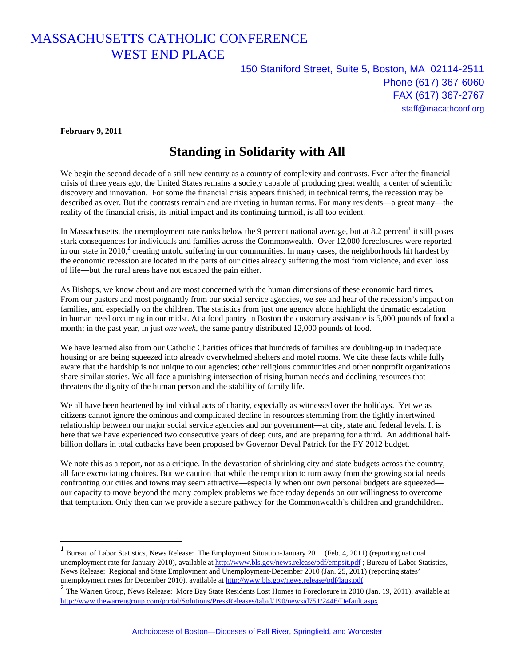## MASSACHUSETTS CATHOLIC CONFERENCE WEST END PLACE

150 Staniford Street, Suite 5, Boston, MA 02114-2511 Phone (617) 367-6060 FAX (617) 367-2767 staff@macathconf.org

**February 9, 2011** 

 $\overline{a}$ 

## **Standing in Solidarity with All**

We begin the second decade of a still new century as a country of complexity and contrasts. Even after the financial crisis of three years ago, the United States remains a society capable of producing great wealth, a center of scientific discovery and innovation. For some the financial crisis appears finished; in technical terms, the recession may be described as over. But the contrasts remain and are riveting in human terms. For many residents—a great many—the reality of the financial crisis, its initial impact and its continuing turmoil, is all too evident.

In Massachusetts, the unemployment rate ranks below the 9 percent national average, but at 8.2 percent<sup>1</sup> it still poses stark consequences for individuals and families across the Commonwealth. Over 12,000 foreclosures were reported in our state in 2010,<sup>2</sup> creating untold suffering in our communities. In many cases, the neighborhoods hit hardest by the economic recession are located in the parts of our cities already suffering the most from violence, and even loss of life—but the rural areas have not escaped the pain either.

As Bishops, we know about and are most concerned with the human dimensions of these economic hard times. From our pastors and most poignantly from our social service agencies, we see and hear of the recession's impact on families, and especially on the children. The statistics from just one agency alone highlight the dramatic escalation in human need occurring in our midst. At a food pantry in Boston the customary assistance is 5,000 pounds of food a month; in the past year, in just *one* week, the same pantry distributed 12,000 pounds of food.

We have learned also from our Catholic Charities offices that hundreds of families are doubling-up in inadequate housing or are being squeezed into already overwhelmed shelters and motel rooms. We cite these facts while fully aware that the hardship is not unique to our agencies; other religious communities and other nonprofit organizations share similar stories. We all face a punishing intersection of rising human needs and declining resources that threatens the dignity of the human person and the stability of family life.

We all have been heartened by individual acts of charity, especially as witnessed over the holidays. Yet we as citizens cannot ignore the ominous and complicated decline in resources stemming from the tightly intertwined relationship between our major social service agencies and our government—at city, state and federal levels. It is here that we have experienced two consecutive years of deep cuts, and are preparing for a third. An additional halfbillion dollars in total cutbacks have been proposed by Governor Deval Patrick for the FY 2012 budget.

We note this as a report, not as a critique. In the devastation of shrinking city and state budgets across the country, all face excruciating choices. But we caution that while the temptation to turn away from the growing social needs confronting our cities and towns may seem attractive—especially when our own personal budgets are squeezed our capacity to move beyond the many complex problems we face today depends on our willingness to overcome that temptation. Only then can we provide a secure pathway for the Commonwealth's children and grandchildren.

<sup>&</sup>lt;sup>1</sup> Bureau of Labor Statistics, News Release: The Employment Situation-January 2011 (Feb. 4, 2011) (reporting national unemployment rate for January 2010), available at http://www.bls.gov/news.release/pdf/empsit.pdf ; Bureau of Labor Statistics, News Release: Regional and State Employment and Unemployment-December 2010 (Jan. 25, 2011) (reporting states' unemployment rates for December 2010), available at http://www.bls.gov/news.release/pdf/laus.pdf.

<sup>&</sup>lt;sup>2</sup> The Warren Group, News Release: More Bay State Residents Lost Homes to Foreclosure in 2010 (Jan. 19, 2011), available at http://www.thewarrengroup.com/portal/Solutions/PressReleases/tabid/190/newsid751/2446/Default.aspx.